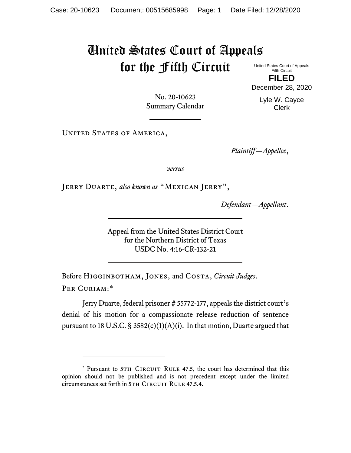## United States Court of Appeals for the Fifth Circuit

United States Court of Appeals Fifth Circuit **FILED**

December 28, 2020

Lyle W. Cayce Clerk

No. 20-10623 Summary Calendar

UNITED STATES OF AMERICA,

*Plaintiff—Appellee*,

*versus*

Jerry Duarte, *also known as* "Mexican Jerry",

*Defendant—Appellant*.

Appeal from the United States District Court for the Northern District of Texas USDC No. 4:16-CR-132-21

Before Higginbotham, Jones, and Costa, *Circuit Judges*. Per Curiam:[\\*](#page-0-0)

Jerry Duarte, federal prisoner # 55772-177, appeals the district court's denial of his motion for a compassionate release reduction of sentence pursuant to 18 U.S.C. § 3582(c)(1)(A)(i). In that motion, Duarte argued that

<span id="page-0-0"></span><sup>\*</sup> Pursuant to 5TH CIRCUIT RULE 47.5, the court has determined that this opinion should not be published and is not precedent except under the limited circumstances set forth in 5TH CIRCUIT RULE 47.5.4.